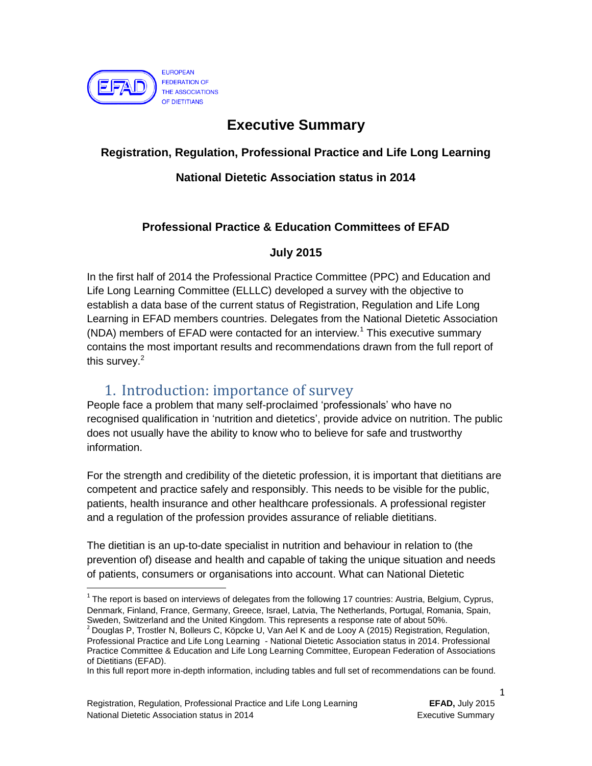

## **Executive Summary**

#### **Registration, Regulation, Professional Practice and Life Long Learning**

#### **National Dietetic Association status in 2014**

#### **Professional Practice & Education Committees of EFAD**

#### **July 2015**

In the first half of 2014 the Professional Practice Committee (PPC) and Education and Life Long Learning Committee (ELLLC) developed a survey with the objective to establish a data base of the current status of Registration, Regulation and Life Long Learning in EFAD members countries. Delegates from the National Dietetic Association  $(NDA)$  members of EFAD were contacted for an interview.<sup>1</sup> This executive summary contains the most important results and recommendations drawn from the full report of this survey.<sup>2</sup>

### 1. Introduction: importance of survey

People face a problem that many self-proclaimed 'professionals' who have no recognised qualification in 'nutrition and dietetics', provide advice on nutrition. The public does not usually have the ability to know who to believe for safe and trustworthy information.

For the strength and credibility of the dietetic profession, it is important that dietitians are competent and practice safely and responsibly. This needs to be visible for the public, patients, health insurance and other healthcare professionals. A professional register and a regulation of the profession provides assurance of reliable dietitians.

The dietitian is an up-to-date specialist in nutrition and behaviour in relation to (the prevention of) disease and health and capable of taking the unique situation and needs of patients, consumers or organisations into account. What can National Dietetic

 $\ddot{\phantom{a}}$ 

1

 $1$  The report is based on interviews of delegates from the following 17 countries: Austria, Belgium, Cyprus, Denmark, Finland, France, Germany, Greece, Israel, Latvia, The Netherlands, Portugal, Romania, Spain, Sweden, Switzerland and the United Kingdom. This represents a response rate of about 50%.

<sup>2</sup> Douglas P, Trostler N, Bolleurs C, Köpcke U, Van Ael K and de Looy A (2015) Registration, Regulation, Professional Practice and Life Long Learning - National Dietetic Association status in 2014. Professional Practice Committee & Education and Life Long Learning Committee, European Federation of Associations of Dietitians (EFAD).

In this full report more in-depth information, including tables and full set of recommendations can be found.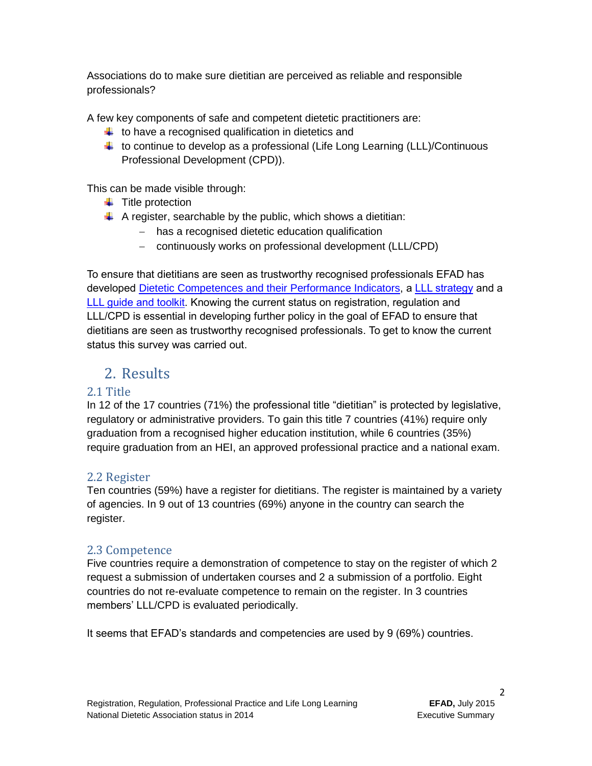Associations do to make sure dietitian are perceived as reliable and responsible professionals?

A few key components of safe and competent dietetic practitioners are:

- $\ddot{\phantom{a}}$  to have a recognised qualification in dietetics and
- $\ddot{\phantom{1}}$  to continue to develop as a professional (Life Long Learning (LLL)/Continuous Professional Development (CPD)).

This can be made visible through:

- $\ddot{\bullet}$  Title protection
- $\uparrow$  A register, searchable by the public, which shows a dietitian:
	- has a recognised dietetic education qualification
	- continuously works on professional development (LLL/CPD)

To ensure that dietitians are seen as trustworthy recognised professionals EFAD has developed Dietetic [Competences and their Performance Indicators,](http://www.efad.org/everyone/1468/5/0/32) a [LLL strategy](http://www.efad.org/everyone/5118/5/0/32) and a [LLL guide and toolkit.](http://www.efad.org/everyone/4176/5/0/32) Knowing the current status on registration, regulation and LLL/CPD is essential in developing further policy in the goal of EFAD to ensure that dietitians are seen as trustworthy recognised professionals. To get to know the current status this survey was carried out.

# 2. Results

#### 2.1 Title

In 12 of the 17 countries (71%) the professional title "dietitian" is protected by legislative, regulatory or administrative providers. To gain this title 7 countries (41%) require only graduation from a recognised higher education institution, while 6 countries (35%) require graduation from an HEI, an approved professional practice and a national exam.

#### 2.2 Register

Ten countries (59%) have a register for dietitians. The register is maintained by a variety of agencies. In 9 out of 13 countries (69%) anyone in the country can search the register.

#### 2.3 Competence

Five countries require a demonstration of competence to stay on the register of which 2 request a submission of undertaken courses and 2 a submission of a portfolio. Eight countries do not re-evaluate competence to remain on the register. In 3 countries members' LLL/CPD is evaluated periodically.

It seems that EFAD's standards and competencies are used by 9 (69%) countries.

2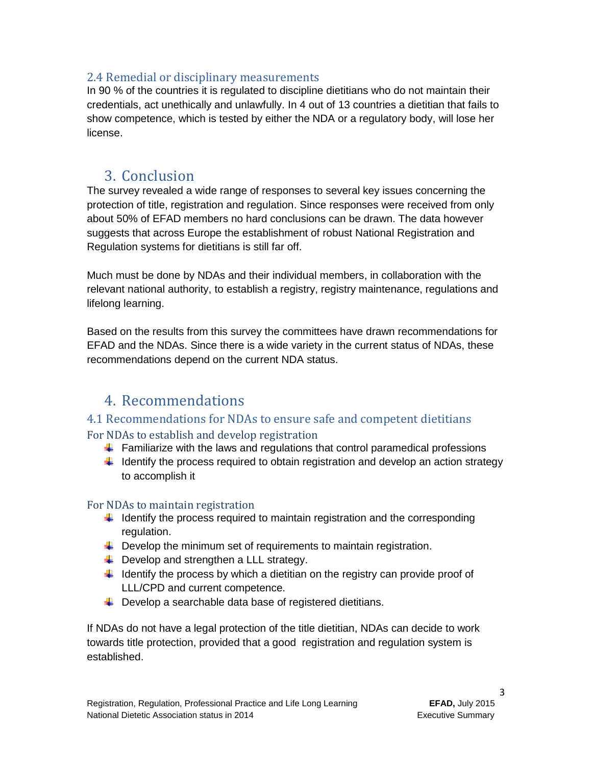#### 2.4 Remedial or disciplinary measurements

In 90 % of the countries it is regulated to discipline dietitians who do not maintain their credentials, act unethically and unlawfully. In 4 out of 13 countries a dietitian that fails to show competence, which is tested by either the NDA or a regulatory body, will lose her license.

### 3. Conclusion

The survey revealed a wide range of responses to several key issues concerning the protection of title, registration and regulation. Since responses were received from only about 50% of EFAD members no hard conclusions can be drawn. The data however suggests that across Europe the establishment of robust National Registration and Regulation systems for dietitians is still far off.

Much must be done by NDAs and their individual members, in collaboration with the relevant national authority, to establish a registry, registry maintenance, regulations and lifelong learning.

Based on the results from this survey the committees have drawn recommendations for EFAD and the NDAs. Since there is a wide variety in the current status of NDAs, these recommendations depend on the current NDA status.

### 4. Recommendations

### 4.1 Recommendations for NDAs to ensure safe and competent dietitians

#### For NDAs to establish and develop registration

- $\ddot{\phantom{1}}$  Familiarize with the laws and regulations that control paramedical professions
- $\ddot{\phantom{1}}$  Identify the process required to obtain registration and develop an action strategy to accomplish it

#### For NDAs to maintain registration

- $\ddot{\phantom{1}}$  Identify the process required to maintain registration and the corresponding regulation.
- $\downarrow$  Develop the minimum set of requirements to maintain registration.
- $\overline{\phantom{a}}$  Develop and strengthen a LLL strategy.
- $\ddot{\phantom{1}}$  Identify the process by which a dietitian on the registry can provide proof of LLL/CPD and current competence.
- $\downarrow$  Develop a searchable data base of registered dietitians.

If NDAs do not have a legal protection of the title dietitian, NDAs can decide to work towards title protection, provided that a good registration and regulation system is established.